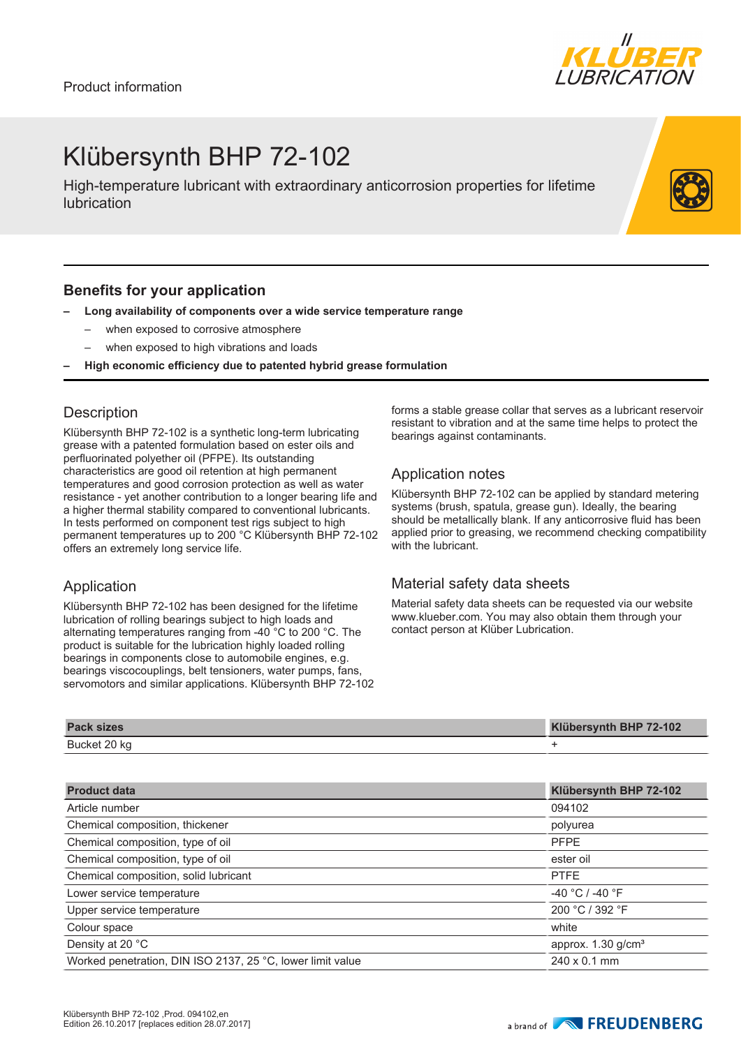

## Klübersynth BHP 72-102

High-temperature lubricant with extraordinary anticorrosion properties for lifetime lubrication

### **Benefits for your application**

- **– Long availability of components over a wide service temperature range**
	- when exposed to corrosive atmosphere
	- when exposed to high vibrations and loads
- **– High economic efficiency due to patented hybrid grease formulation**

#### **Description**

Klübersynth BHP 72-102 is a synthetic long-term lubricating grease with a patented formulation based on ester oils and perfluorinated polyether oil (PFPE). Its outstanding characteristics are good oil retention at high permanent temperatures and good corrosion protection as well as water resistance - yet another contribution to a longer bearing life and a higher thermal stability compared to conventional lubricants. In tests performed on component test rigs subject to high permanent temperatures up to 200 °C Klübersynth BHP 72-102 offers an extremely long service life.

### Application

Klübersynth BHP 72-102 has been designed for the lifetime lubrication of rolling bearings subject to high loads and alternating temperatures ranging from -40 °C to 200 °C. The product is suitable for the lubrication highly loaded rolling bearings in components close to automobile engines, e.g. bearings viscocouplings, belt tensioners, water pumps, fans, servomotors and similar applications. Klübersynth BHP 72-102 forms a stable grease collar that serves as a lubricant reservoir resistant to vibration and at the same time helps to protect the bearings against contaminants.

### Application notes

Klübersynth BHP 72-102 can be applied by standard metering systems (brush, spatula, grease gun). Ideally, the bearing should be metallically blank. If any anticorrosive fluid has been applied prior to greasing, we recommend checking compatibility with the lubricant.

### Material safety data sheets

Material safety data sheets can be requested via our website www.klueber.com. You may also obtain them through your contact person at Klüber Lubrication.

| <b>Pack sizes</b> | Klübersynth BHP 72-102 |
|-------------------|------------------------|
| Bucket 20 kg      |                        |

| <b>Product data</b>                                        | Klübersynth BHP 72-102           |
|------------------------------------------------------------|----------------------------------|
| Article number                                             | 094102                           |
| Chemical composition, thickener                            | polyurea                         |
| Chemical composition, type of oil                          | <b>PFPE</b>                      |
| Chemical composition, type of oil                          | ester oil                        |
| Chemical composition, solid lubricant                      | <b>PTFE</b>                      |
| Lower service temperature                                  | $-40$ °C / -40 °F                |
| Upper service temperature                                  | 200 °C / 392 °F                  |
| Colour space                                               | white                            |
| Density at 20 °C                                           | approx. $1.30$ g/cm <sup>3</sup> |
| Worked penetration, DIN ISO 2137, 25 °C, lower limit value | $240 \times 0.1$ mm              |